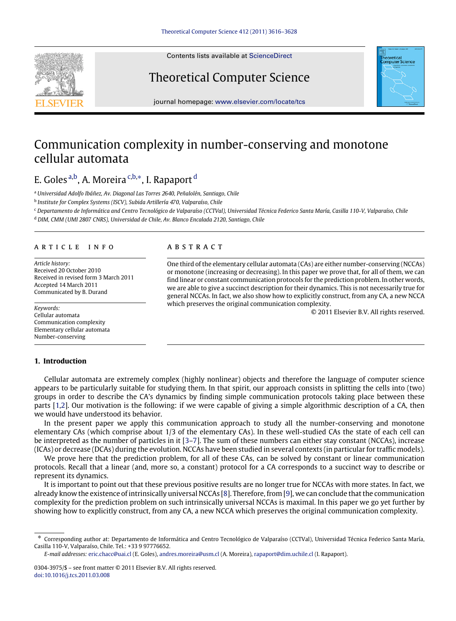

Contents lists available at [ScienceDirect](http://www.elsevier.com/locate/tcs)

# Theoretical Computer Science



journal homepage: [www.elsevier.com/locate/tcs](http://www.elsevier.com/locate/tcs)

## Communication complexity in number-conserving and monotone cellular automata

## E. Goles [a,](#page-0-0)[b,](#page-0-1) A. Moreira [c,](#page-0-2)[b,](#page-0-1)[∗](#page-0-3), I. Rapaport [d](#page-0-4)

<span id="page-0-0"></span><sup>a</sup> *Universidad Adolfo Ibáñez, Av. Diagonal Las Torres 2640, Peñalolén, Santiago, Chile*

<span id="page-0-1"></span><sup>b</sup> *Institute for Complex Systems (ISCV), Subida Artillería 470, Valparaíso, Chile*

<span id="page-0-2"></span><sup>c</sup> *Departamento de Informática and Centro Tecnológico de Valparaíso (CCTVal), Universidad Técnica Federico Santa María, Casilla 110-V, Valparaíso, Chile*

<span id="page-0-4"></span><sup>d</sup> *DIM, CMM (UMI 2807 CNRS), Universidad de Chile, Av. Blanco Encalada 2120, Santiago, Chile*

## a r t i c l e i n f o

*Article history:* Received 20 October 2010 Received in revised form 3 March 2011 Accepted 14 March 2011 Communicated by B. Durand

*Keywords:* Cellular automata Communication complexity Elementary cellular automata Number-conserving

## **1. Introduction**

## **ABSTRACT**

One third of the elementary cellular automata (CAs) are either number-conserving (NCCAs) or monotone (increasing or decreasing). In this paper we prove that, for all of them, we can find linear or constant communication protocols for the prediction problem. In other words, we are able to give a succinct description for their dynamics. This is not necessarily true for general NCCAs. In fact, we also show how to explicitly construct, from any CA, a new NCCA which preserves the original communication complexity.

© 2011 Elsevier B.V. All rights reserved.

Cellular automata are extremely complex (highly nonlinear) objects and therefore the language of computer science appears to be particularly suitable for studying them. In that spirit, our approach consists in splitting the cells into (two) groups in order to describe the CA's dynamics by finding simple communication protocols taking place between these parts [\[1,](#page-11-0)[2\]](#page-11-1). Our motivation is the following: if we were capable of giving a simple algorithmic description of a CA, then we would have understood its behavior.

In the present paper we apply this communication approach to study all the number-conserving and monotone elementary CAs (which comprise about 1/3 of the elementary CAs). In these well-studied CAs the state of each cell can be interpreted as the number of particles in it [\[3–](#page-11-2)[7\]](#page-11-3). The sum of these numbers can either stay constant (NCCAs), increase (ICAs) or decrease (DCAs) during the evolution. NCCAs have been studied in several contexts (in particular for traffic models).

We prove here that the prediction problem, for all of these CAs, can be solved by constant or linear communication protocols. Recall that a linear (and, more so, a constant) protocol for a CA corresponds to a succinct way to describe or represent its dynamics.

It is important to point out that these previous positive results are no longer true for NCCAs with more states. In fact, we already know the existence of intrinsically universal NCCAs [\[8\]](#page-11-4). Therefore, from [\[9\]](#page-12-0), we can conclude that the communication complexity for the prediction problem on such intrinsically universal NCCAs is maximal. In this paper we go yet further by showing how to explicitly construct, from any CA, a new NCCA which preserves the original communication complexity.

*E-mail addresses:* [eric.chacc@uai.cl](mailto:eric.chacc@uai.cl) (E. Goles), [andres.moreira@usm.cl](mailto:andres.moreira@usm.cl) (A. Moreira), [rapaport@dim.uchile.cl](mailto:rapaport@dim.uchile.cl) (I. Rapaport).

<span id="page-0-3"></span><sup>∗</sup> Corresponding author at: Departamento de Informática and Centro Tecnológico de Valparaíso (CCTVal), Universidad Técnica Federico Santa María, Casilla 110-V, Valparaíso, Chile. Tel.: +33 9 97776652.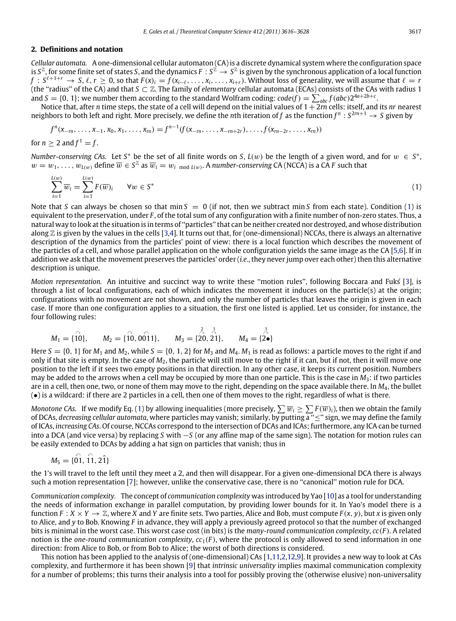#### **2. Definitions and notation**

*Cellular automata.* A one-dimensional cellular automaton (CA) is a discrete dynamical system where the configuration space is  $S^{\mathbb{Z}}$ , for some finite set of states *S*, and the dynamics  $F : S^{\mathbb{Z}} \to S^{\mathbb{Z}}$  is given by the synchronous application of a local function  $f: S^{\ell+1+r} \to S, \ell, r \geq 0$ , so that  $F(x)_i = f(x_{i-\ell}, \ldots, x_i, \ldots, x_{i+r})$ . Without loss of generality, we will assume that  $\ell = r$ (the ''radius'' of the CA) and that *S* ⊂ Z. The family of *elementary* cellular automata (ECAs) consists of the CAs with radius 1 and  $S = \{0, 1\}$ ; we number them according to the standard Wolfram coding:  $code(f) = \sum_{abc} f(abc)2^{4a+2b+c}$ .

Notice that, after *n* time steps, the state of a cell will depend on the initial values of  $1+2m$  cells: itself, and its *nr* nearest neighbors to both left and right. More precisely, we define the *n*th iteration of f as the function  $f^n : S^{2m+1} \to S$  given by

$$
f^{n}(x_{-m},...,x_{-1},x_0,x_1,...,x_m)=f^{n-1}(f(x_{-m},...,x_{-m+2r}),...,f(x_{m-2r},...,x_m))
$$

for  $n > 2$  and  $f^1 = f$ .

*Number-conserving CAs.* Let  $S^*$  be the set of all finite words on *S*,  $L(w)$  be the length of a given word, and for  $w \in S^*$ ,  $w = w_1, \ldots, w_{L(w)}$  define  $\overline{w} \in S^{\mathbb{Z}}$  as  $\overline{w}_i = w_i$  mod  $L(w)$ . A *number-conserving* CA (NCCA) is a CA *F* such that

<span id="page-1-0"></span>
$$
\sum_{i=1}^{L(w)} \overline{w}_i = \sum_{i=1}^{L(w)} F(\overline{w})_i \qquad \forall w \in S^*
$$
 (1)

Note that *S* can always be chosen so that min  $S = 0$  (if not, then we subtract min *S* from each state). Condition [\(1\)](#page-1-0) is equivalent to the preservation, under *F* , of the total sum of any configuration with a finite number of non-zero states. Thus, a natural way to look at the situation is in terms of ''particles'' that can be neither created nor destroyed, and whose distribution along  $\mathbb Z$  is given by the values in the cells [\[3,](#page-11-2)[4\]](#page-11-5). It turns out that, for (one-dimensional) NCCAs, there is always an alternative description of the dynamics from the particles' point of view: there is a local function which describes the movement of the particles of a cell, and whose parallel application on the whole configuration yields the same image as the CA [\[5,](#page-11-6)[6\]](#page-11-7). If in addition we ask that the movement preserves the particles' order (*i.e.*, they never jump over each other) then this alternative description is unique.

*Motion representation.* An intuitive and succinct way to write these ''motion rules'', following Boccara and Fukś [\[3\]](#page-11-2), is through a list of local configurations, each of which indicates the movement it induces on the particle(s) at the origin; configurations with no movement are not shown, and only the number of particles that leaves the origin is given in each case. If more than one configuration applies to a situation, the first one listed is applied. Let us consider, for instance, the four following rules:

$$
M_1 = \{\stackrel{\frown}{10}\}, \qquad M_2 = \{\stackrel{\frown}{10}, \stackrel{\frown}{001}1\}, \qquad M_3 = \{\stackrel{\rceil}{20}, \stackrel{\rceil}{21}\}, \qquad M_4 = \{\stackrel{\rceil}{2\bullet}\}
$$

Here  $S = \{0, 1\}$  for  $M_1$  and  $M_2$ , while  $S = \{0, 1, 2\}$  for  $M_3$  and  $M_4$ .  $M_1$  is read as follows: a particle moves to the right if and only if that site is empty. In the case of *M*2, the particle will still move to the right if it can, but if not, then it will move one position to the left if it sees two empty positions in that direction. In any other case, it keeps its current position. Numbers may be added to the arrows when a cell may be occupied by more than one particle. This is the case in *M*3: if two particles are in a cell, then one, two, or none of them may move to the right, depending on the space available there. In *M*4, the bullet (•) is a wildcard: if there are 2 particles in a cell, then one of them moves to the right, regardless of what is there.

*Monotone CAs.* If we modify Eq. [\(1\)](#page-1-0) by allowing inequalities (more precisely,  $\sum \overline{w_i} \geq \sum F(\overline{w})_i$ ), then we obtain the family of DCAs, *decreasing cellular automata*, where particles may vanish; similarly, by putting a ''≤'' sign, we may define the family of ICAs, *increasing CAs*. Of course, NCCAs correspond to the intersection of DCAs and ICAs; furthermore, any ICA can be turned into a DCA (and vice versa) by replacing *S* with −*S* (or any affine map of the same sign). The notation for motion rules can be easily extended to DCAs by adding a hat sign on particles that vanish; thus in

$$
M_5 = \{01, 11, 21\}
$$

the 1's will travel to the left until they meet a 2, and then will disappear. For a given one-dimensional DCA there is always such a motion representation [\[7\]](#page-11-3); however, unlike the conservative case, there is no ''canonical'' motion rule for DCA.

*Communication complexity.* The concept of *communication complexity* was introduced by Yao [\[10\]](#page-12-1) as a tool for understanding the needs of information exchange in parallel computation, by providing lower bounds for it. In Yao's model there is a function  $F: X \times Y \to \mathbb{Z}$ , where *X* and *Y* are finite sets. Two parties, Alice and Bob, must compute  $F(x, y)$ , but *x* is given only to Alice, and *y* to Bob. Knowing *F* in advance, they will apply a previously agreed protocol so that the number of exchanged bits is minimal in the worst case. This worst case cost (in bits) is the *many-round communication complexity*, *cc*(*F* ). A related notion is the *one-round communication complexity*,  $cc_1(F)$ , where the protocol is only allowed to send information in one direction: from Alice to Bob, or from Bob to Alice; the worst of both directions is considered.

This notion has been applied to the analysis of (one-dimensional) CAs [\[1,](#page-11-0)[11](#page-12-2)[,2](#page-11-1)[,12,](#page-12-3)[9\]](#page-12-0). It provides a new way to look at CAs complexity, and furthermore it has been shown [\[9\]](#page-12-0) that *intrinsic universality* implies maximal communication complexity for a number of problems; this turns their analysis into a tool for possibly proving the (otherwise elusive) non-universality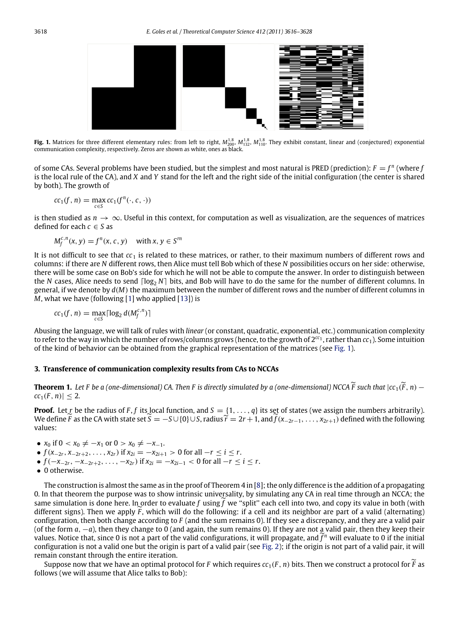<span id="page-2-0"></span>

**Fig. 1.** Matrices for three different elementary rules: from left to right,  $M_{200}^{1,8}$ ,  $M_{132}^{1,8}$ ,  $M_{110}^{1,8}$ . They exhibit constant, linear and (conjectured) exponential communication complexity, respectively. Zeros are shown as white, ones as black.

of some CAs. Several problems have been studied, but the simplest and most natural is PRED (prediction):  $F = f^n$  (where  $f$ is the local rule of the CA), and *X* and *Y* stand for the left and the right side of the initial configuration (the center is shared by both). The growth of

$$
cc_1(f, n) = \max_{c \in S} cc_1(f^n(\cdot, c, \cdot))
$$

is then studied as  $n \to \infty$ . Useful in this context, for computation as well as visualization, are the sequences of matrices defined for each  $c \in S$  as

$$
M_f^{c,n}(x, y) = f^n(x, c, y) \quad \text{with } x, y \in S^m
$$

It is not difficult to see that *cc*<sup>1</sup> is related to these matrices, or rather, to their maximum numbers of different rows and columns: if there are *N* different rows, then Alice must tell Bob which of these *N* possibilities occurs on her side: otherwise, there will be some case on Bob's side for which he will not be able to compute the answer. In order to distinguish between the *N* cases, Alice needs to send  $\lceil \log_2 N \rceil$  bits, and Bob will have to do the same for the number of different columns. In general, if we denote by *d*(*M*) the maximum between the number of different rows and the number of different columns in *M*, what we have (following [\[1\]](#page-11-0) who applied [\[13\]](#page-12-4)) is

$$
cc_1(f, n) = \max_{c \in S} \lceil \log_2 d(M_f^{c, n}) \rceil
$$

Abusing the language, we will talk of rules with *linear* (or constant, quadratic, exponential, etc.) communication complexity to refer to the way in which the number of rows/columns grows (hence, to the growth of  $2^{cc_1}$ , rather than  $cc_1$ ). Some intuition of the kind of behavior can be obtained from the graphical representation of the matrices (see [Fig.](#page-2-0) [1\)](#page-2-0).

## **3. Transference of communication complexity results from CAs to NCCAs**

<span id="page-2-1"></span>**Theorem 1.** Let *F* be a (one-dimensional) CA. Then *F* is directly simulated by a (one-dimensional) NCCA  $\widetilde{F}$  such that  $|cc_1(\widetilde{F}, n)$  –  $|cc_1(F, n)| \leq 2.$ 

**Proof.** Let *r* be the radius of *F*, *f* its local function, and  $S = \{1, \ldots, q\}$  its set of states (we assign the numbers arbitrarily). We define *F* as the CA with state set  $\hat{S} = -S \cup \{0\} \cup S$ , radius  $\hat{r} = 2r + 1$ , and  $\hat{f}(x_{2r-1}, \ldots, x_{2r+1})$  defined with the following values:

•  $x_0$  if  $0 < x_0 \neq -x_1$  or  $0 > x_0 \neq -x_{-1}$ .

- $\bullet$  *f*(*x*<sub>−2*r*</sub>, *x*<sub>−2*r*+2</sub>, . . . . , *x*<sub>2*r*</sub>) if *x*<sub>2*i*</sub> = −*x*<sub>2*i*+1</sub> > 0 for all −*r* ≤ *i* ≤ *r*.
- $\bullet$  *f*(−*x*<sub>−2*r*</sub>, −*x*<sub>−2*r*+2</sub>, . . . . , −*x*<sub>2*r*</sub>) if *x*<sub>2*i*</sub> = −*x*<sub>2*i*−1</sub> < 0 for all −*r* < *i* < *r*.
- 0 otherwise.

The construction is almost the same as in the proof of Theorem  $4$  in [\[8\]](#page-11-4); the only difference is the addition of a propagating 0. In that theorem the purpose was to show intrinsic universality, by simulating any CA in real time through an NCCA; the same simulation is done here. In order to evaluate f using  $\hat{f}$  we "split" each cell into two, and copy its value in both (with different signs). Then we apply  $\ddot{F}$ , which will do the following: if a cell and its neighbor are part of a valid (alternating) configuration, then both change according to *F* (and the sum remains 0). If they see a discrepancy, and they are a valid pair (of the form *<sup>a</sup>*, −*a*), then they change to 0 (and again, the sum remains 0). If they are not a valid pair, then they keep their values. Notice that, since 0 is not a part of the valid configurations, it will propagate, and  $f^n$  will evaluate to 0 if the initial configuration is not a valid one but the origin is part of a valid pair (see [Fig.](#page-3-0) [2\)](#page-3-0); if the origin is not part of a valid pair, it will remain constant through the entire iteration.

Suppose now that we have an optimal protocol for *F* which requires  $cc_1(F, n)$  bits. Then we construct a protocol for *F* as follows (we will assume that Alice talks to Bob):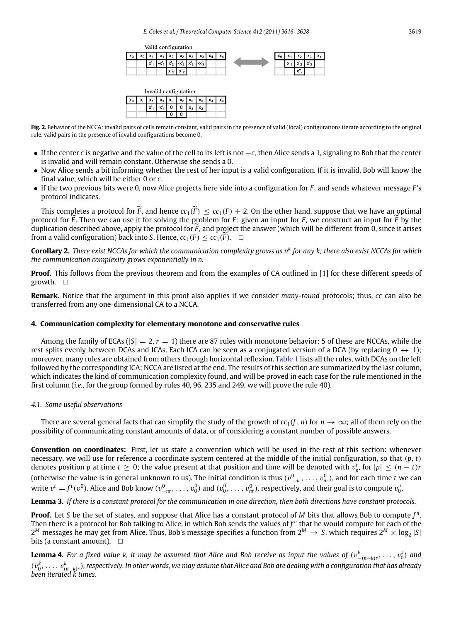Volid configuration

| vana comigaration     |       |  |      |                                                                                       |  |  |  |                                                       |       |                 |                |                                          |  |
|-----------------------|-------|--|------|---------------------------------------------------------------------------------------|--|--|--|-------------------------------------------------------|-------|-----------------|----------------|------------------------------------------|--|
| $x_0$   $x_0$   $x_1$ |       |  |      |                                                                                       |  |  |  | $x_1$   $x_2$   $x_2$   $x_3$   $x_3$   $x_4$   $x_4$ | $x_0$ | $\sim$ $\sim$ . |                | $\mathbf{x}_2 \mathbf{x}_3 \mathbf{x}_4$ |  |
|                       | $x_1$ |  |      | $x_1$ x' <sub>1</sub> x' <sub>2</sub> x' <sub>2</sub> x' <sub>3</sub> x' <sub>3</sub> |  |  |  |                                                       |       | $X'_{1}$        | <b>COMPANY</b> |                                          |  |
|                       |       |  | A.M. | $\mathbf{L} \times \mathbf{L}$                                                        |  |  |  |                                                       |       |                 | $x_{2}$        |                                          |  |

| Invalid configuration |  |  |                             |  |  |  |  |  |                                                                               |
|-----------------------|--|--|-----------------------------|--|--|--|--|--|-------------------------------------------------------------------------------|
|                       |  |  |                             |  |  |  |  |  | $x_0$   $x_0$   $x_1$   $x_1$   $x_2$   $x_2$   $x_3$   $x_3$   $x_4$   $x_4$ |
|                       |  |  | $x_1$ $x_1$ 0 0 $x_3$ $x_3$ |  |  |  |  |  |                                                                               |
|                       |  |  |                             |  |  |  |  |  |                                                                               |

<span id="page-3-0"></span>**Fig. 2.** Behavior of the NCCA: invalid pairs of cells remain constant, valid pairs in the presence of valid (local) configurations iterate according to the original rule, valid pairs in the presence of invalid configurations become 0.

- If the center *c* is negative and the value of the cell to its left is not −*c*, then Alice sends a 1, signaling to Bob that the center is invalid and will remain constant. Otherwise she sends a 0.
- Now Alice sends a bit informing whether the rest of her input is a valid configuration. If it is invalid, Bob will know the final value, which will be either 0 or *c*.
- If the two previous bits were 0, now Alice projects here side into a configuration for *F* , and sends whatever message *F* 's protocol indicates.

This completes a protocol for  $\widetilde{F}$ , and hence  $cc_1(\widetilde{F}) \leq cc_1(F) + 2$ . On the other hand, suppose that we have an optimal protocol for  $\overline{F}$ . Then we can use it for solving the problem for  $F$ : given an input for  $F$ , we construct an input for  $\overline{F}$  by the duplication described above, apply the protocol for  $\bar{F}$ , and project the answer (which will be different from 0, since it arises from a valid configuration) back into *S*. Hence,  $cc_1(F) < cc_1(F)$ .  $\Box$ 

**Corollary 2.** *There exist NCCAs for which the communication complexity grows as n<sup>k</sup> for any k; there also exist NCCAs for which the communication complexity grows exponentially in n.*

**Proof.** This follows from the previous theorem and from the examples of CA outlined in [\[1\]](#page-11-0) for these different speeds of growth.  $\Box$ 

**Remark.** Notice that the argument in this proof also applies if we consider *many-round* protocols; thus, *cc* can also be transferred from any one-dimensional CA to a NCCA.

## **4. Communication complexity for elementary monotone and conservative rules**

Among the family of ECAs ( $|S| = 2$ ,  $r = 1$ ) there are 87 rules with monotone behavior: 5 of these are NCCAs, while the rest splits evenly between DCAs and ICAs. Each ICA can be seen as a conjugated version of a DCA (by replacing  $0 \leftrightarrow 1$ ); moreover, many rules are obtained from others through horizontal reflexion. [Table](#page-4-0) [1](#page-4-0) lists all the rules, with DCAs on the left followed by the corresponding ICA; NCCA are listed at the end. The results of this section are summarized by the last column, which indicates the kind of communication complexity found, and will be proved in each case for the rule mentioned in the first column (*i.e.*, for the group formed by rules 40, 96, 235 and 249, we will prove the rule 40).

## *4.1. Some useful observations*

There are several general facts that can simplify the study of the growth of  $cc_1(f, n)$  for  $n \to \infty$ ; all of them rely on the possibility of communicating constant amounts of data, or of considering a constant number of possible answers.

**Convention on coordinates:** First, let us state a convention which will be used in the rest of this section: whenever necessary, we will use for reference a coordinate system centered at the middle of the initial configuration, so that (*p*, *t*) denotes position *p* at time  $t \ge 0$ ; the value present at that position and time will be denoted with  $v_p^t$ , for  $|p| \le (n-t)r$ (otherwise the value is in general unknown to us). The initial condition is thus  $(v_{-nr}^0, \ldots, v_{nr}^0)$ , and for each time *t* we can write  $v^t = f^t(v^0)$ . Alice and Bob know  $(v^0_{-nr}, \ldots, v^0_0)$  and  $(v^0_0, \ldots, v^0_{nr})$ , respectively, and their goal is to compute  $v^n_0$ .

<span id="page-3-2"></span>**Lemma 3.** *If there is a constant protocol for the communication in one direction, then both directions have constant protocols.*

**Proof.** Let *S* be the set of states, and suppose that Alice has a constant protocol of *M* bits that allows Bob to compute *f <sup>n</sup>*. Then there is a protocol for Bob talking to Alice, in which Bob sends the values of  $f^n$  that he would compute for each of the  $2^M$  messages he may get from Alice. Thus, Bob's message specifies a function from  $2^M \to S$ , which requires  $2^M \times \log_2 |S|$ bits (a constant amount).  $\Box$ 

<span id="page-3-1"></span>**Lemma 4.** For a fixed value k, it may be assumed that Alice and Bob receive as input the values of  $(v_{-(n-k)r}^k,\ldots,v_0^k)$  and (v*<sup>k</sup>* 0, . . . , v*<sup>k</sup>* (*n*−*k*)*r*)*, respectively. In other words, we may assume that Alice and Bob are dealing with a configuration that has already been iterated k times.*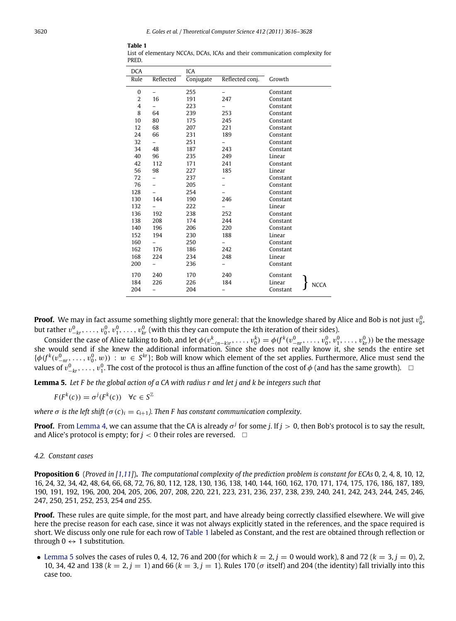| <b>DCA</b><br>Rule | Reflected | ICA<br>Conjugate | Reflected conj.          | Growth                |
|--------------------|-----------|------------------|--------------------------|-----------------------|
| 0                  |           | 255              |                          | Constant              |
| 2                  | 16        | 191              | 247                      | Constant              |
| 4                  |           | 223              |                          | Constant              |
| 8                  | 64        | 239              | 253                      | Constant              |
| 10                 | 80        | 175              | 245                      | Constant              |
| 12                 | 68        | 207              | 221                      | Constant              |
| 24                 | 66        | 231              | 189                      | Constant              |
| 32                 | $-$       | 251              | $\overline{\phantom{0}}$ | Constant              |
| 34                 | 48        | 187              | 243                      | Constant              |
| 40                 | 96        | 235              | 249                      | Linear                |
| 42                 | 112       | 171              | 241                      | Constant              |
| 56                 | 98        | 227              | 185                      | Linear                |
| 72                 | -         | 237              |                          | Constant              |
| 76                 | -         | 205              |                          | Constant              |
| 128                |           | 254              |                          | Constant              |
| 130                | 144       | 190              | 246                      | Constant              |
| 132                |           | 222              |                          | Linear                |
| 136                | 192       | 238              | 252                      | Constant              |
| 138                | 208       | 174              | 244                      | Constant              |
| 140                | 196       | 206              | 220                      | Constant              |
| 152                | 194       | 230              | 188                      | Linear                |
| 160                |           | 250              | $\overline{\phantom{0}}$ | Constant              |
| 162                | 176       | 186              | 242                      | Constant              |
| 168                | 224       | 234              | 248                      | Linear                |
| 200                | -         | 236              | -                        | Constant              |
| 170                | 240       | 170              | 240                      | Constant              |
| 184                | 226       | 226              | 184                      | Linear<br><b>NCCA</b> |
| 204                |           | 204              |                          | Constant              |
|                    |           |                  |                          |                       |

<span id="page-4-0"></span>List of elementary NCCAs, DCAs, ICAs and their communication complexity for PRED.

**Table 1**

**Proof.** We may in fact assume something slightly more general: that the knowledge shared by Alice and Bob is not just  $v_0^0$ , but rather  $v_{-kr}^0, \ldots, v_0^0, v_1^0, \ldots, v_{kr}^0$  (with this they can compute the *k*th iteration of their sides).

Consider the case of Alice talking to Bob, and let  $\phi(v_{-n-k)r}^k, \ldots, v_0^k) = \phi(f^k(v_{-nr}^0, \ldots, v_0^0, v_1^0, \ldots, v_n^0))$  be the message she would send if she knew the additional information. Since she does not really know it, she sends the entire set  $\{\phi(f^k(v^0_{-nr},\ldots,v^0_0,w)) : w \in S^k\}$ ; Bob will know which element of the set applies. Furthermore, Alice must send the *values of*  $v_{-kr}^0$ , ...,  $v_1^0$ . The cost of the protocol is thus an affine function of the cost of  $\phi$  (and has the same growth).  $□$ 

<span id="page-4-1"></span>**Lemma 5.** *Let F be the global action of a CA with radius r and let j and k be integers such that*

 $F(F^k(c)) = \sigma^j(F^k(c)) \quad \forall c \in S^{\mathbb{Z}}$ 

*where*  $\sigma$  *is the left shift* ( $\sigma$ (*c*)<sub>*i*</sub> = *c*<sub>*i*+1</sub>). Then F has constant communication complexity.

**Proof.** From [Lemma](#page-3-1) [4,](#page-3-1) we can assume that the CA is already  $\sigma^j$  for some *j*. If  $j > 0$ , then Bob's protocol is to say the result, and Alice's protocol is empty; for  $j < 0$  their roles are reversed.  $\Box$ 

#### *4.2. Constant cases*

**Proposition 6** (*Proved in [\[1,](#page-11-0)[11\]](#page-12-2)*)**.** *The computational complexity of the prediction problem is constant for ECAs* 0*,* 2*,* 4*,* 8*,* 10*,* 12*,* 16, 24, 32, 34, 42, 48, 64, 66, 68, 72, 76, 80, 112, 128, 130, 136, 138, 140, 144, 160, 162, 170, 171, 174, 175, 176, 186, 187, 189, 190, 191, 192, 196, 200, 204, 205, 206, 207, 208, 220, 221, 223, 231, 236, 237, 238, 239, 240, 241, 242, 243, 244, 245, 246, 247*,* 250*,* 251*,* 252*,* 253*,* 254 *and* 255*.*

**Proof.** These rules are quite simple, for the most part, and have already being correctly classified elsewhere. We will give here the precise reason for each case, since it was not always explicitly stated in the references, and the space required is short. We discuss only one rule for each row of [Table](#page-4-0) [1](#page-4-0) labeled as Constant, and the rest are obtained through reflection or through  $0 \leftrightarrow 1$  substitution.

• [Lemma](#page-4-1) [5](#page-4-1) solves the cases of rules 0, 4, 12, 76 and 200 (for which  $k = 2$ ,  $j = 0$  would work), 8 and 72 ( $k = 3$ ,  $j = 0$ ), 2, 10, 34, 42 and 138 ( $k = 2$ ,  $j = 1$ ) and 66 ( $k = 3$ ,  $j = 1$ ). Rules 170 ( $\sigma$  itself) and 204 (the identity) fall trivially into this case too.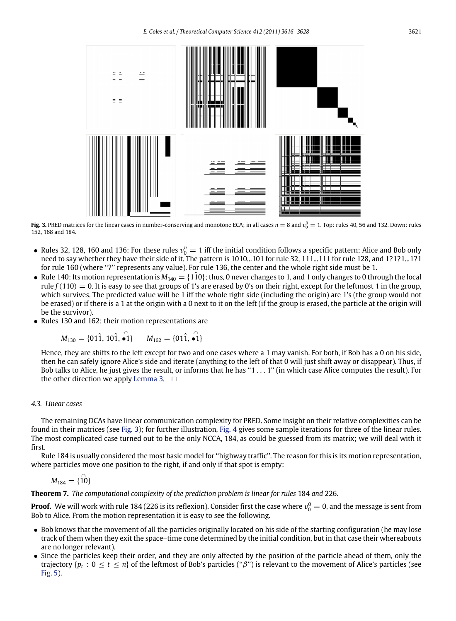<span id="page-5-0"></span>

**Fig. 3.** PRED matrices for the linear cases in number-conserving and monotone ECA; in all cases  $n = 8$  and  $v_0^0 = 1$ . Top: rules 40, 56 and 132. Down: rules 152, 168 and 184.

- Rules 32, 128, 160 and 136: For these rules  $v_0^n = 1$  iff the initial condition follows a specific pattern; Alice and Bob only need to say whether they have their side of it. The pattern is 1010...101 for rule 32, 111...111 for rule 128, and 1?1?1...1?1 for rule 160 (where ''?'' represents any value). For rule 136, the center and the whole right side must be 1.
- Rule 140: Its motion representation is  $M_{140} = \{110\}$ ; thus, 0 never changes to 1, and 1 only changes to 0 through the local rule  $f(110) = 0$ . It is easy to see that groups of 1's are erased by 0's on their right, except for the leftmost 1 in the group, which survives. The predicted value will be 1 iff the whole right side (including the origin) are 1's (the group would not be erased) or if there is a 1 at the origin with a 0 next to it on the left (if the group is erased, the particle at the origin will be the survivor).
- Rules 130 and 162: their motion representations are

$$
M_{130} = \{01\hat{1}, 10\hat{1}, \hat{\bullet 1}\} \qquad M_{162} = \{01\hat{1}, \hat{\bullet 1}\}
$$

Hence, they are shifts to the left except for two and one cases where a 1 may vanish. For both, if Bob has a 0 on his side, then he can safely ignore Alice's side and iterate (anything to the left of that 0 will just shift away or disappear). Thus, if Bob talks to Alice, he just gives the result, or informs that he has " $1 \dots 1$ " (in which case Alice computes the result). For the other direction we apply [Lemma](#page-3-2) [3.](#page-3-2)  $\Box$ 

#### *4.3. Linear cases*

The remaining DCAs have linear communication complexity for PRED. Some insight on their relative complexities can be found in their matrices (see [Fig.](#page-5-0) [3\)](#page-5-0); for further illustration, [Fig.](#page-6-1) [4](#page-6-1) gives some sample iterations for three of the linear rules. The most complicated case turned out to be the only NCCA, 184, as could be guessed from its matrix; we will deal with it first.

Rule 184 is usually considered the most basic model for ''highway traffic''. The reason for this is its motion representation, where particles move one position to the right, if and only if that spot is empty:

 $M_{184} = \{ \hat{10} \}$ 

**Theorem 7.** *The computational complexity of the prediction problem is linear for rules* 184 *and* 226*.*

**Proof.** We will work with rule 184 (226 is its reflexion). Consider first the case where  $v_0^0 = 0$ , and the message is sent from Bob to Alice. From the motion representation it is easy to see the following.

- Bob knows that the movement of all the particles originally located on his side of the starting configuration (he may lose track of them when they exit the space–time cone determined by the initial condition, but in that case their whereabouts are no longer relevant).
- Since the particles keep their order, and they are only affected by the position of the particle ahead of them, only the trajectory { $p_t : 0 \le t \le n$ } of the leftmost of Bob's particles (" $\beta$ ") is relevant to the movement of Alice's particles (see [Fig.](#page-6-0) [5\)](#page-6-0).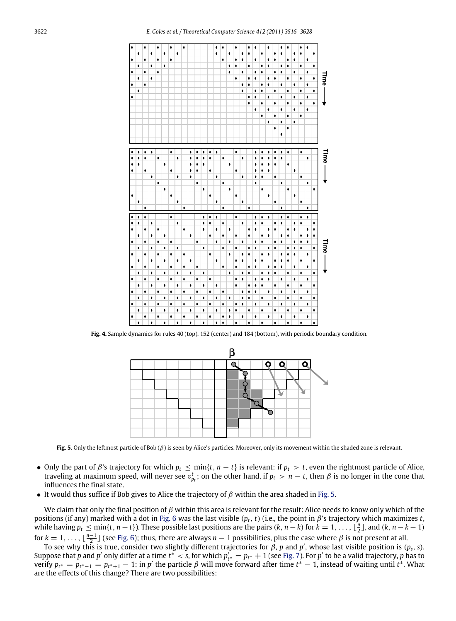<span id="page-6-1"></span>

<span id="page-6-0"></span>**Fig. 4.** Sample dynamics for rules 40 (top), 152 (center) and 184 (bottom), with periodic boundary condition.



**Fig. 5.** Only the leftmost particle of Bob (β) is seen by Alice's particles. Moreover, only its movement within the shaded zone is relevant.

- Only the part of  $\beta$ 's trajectory for which  $p_t \leq \min\{t, n t\}$  is relevant: if  $p_t > t$ , even the rightmost particle of Alice, traveling at maximum speed, will never see  $v_{p_t}^t$ ; on the other hand, if  $p_t > n - t$ , then  $\beta$  is no longer in the cone that influences the final state.
- It would thus suffice if Bob gives to Alice the trajectory of  $\beta$  within the area shaded in [Fig.](#page-6-0) [5.](#page-6-0)

We claim that only the final position of  $\beta$  within this area is relevant for the result: Alice needs to know only which of the positions (if any) marked with a dot in [Fig.](#page-7-1) [6](#page-7-1) was the last visible (*pt*, *t*) (i.e., the point in β's trajectory which maximizes *t*, while having  $p_t \le \min\{t, n-t\}$ . These possible last positions are the pairs  $(k, n-k)$  for  $k = 1, \ldots, \lfloor \frac{n}{2} \rfloor$ , and  $(k, n-k-1)$ for  $k = 1, \ldots, \lfloor \frac{n-1}{2} \rfloor$  (see [Fig.](#page-7-1) [6\)](#page-7-1); thus, there are always  $n-1$  possibilities, plus the case where  $\beta$  is not present at all.

To see why this is true, consider two slightly different trajectories for  $\beta$ ,  $p$  and  $p'$ , whose last visible position is  $(p_s,s)$ . Suppose that *p* and *p'* only differ at a time  $t^* < s$ , for which  $p'_{t^*} = p_{t^*} + 1$  (see [Fig.](#page-7-0) [7\)](#page-7-0). For *p'* to be a valid trajectory, *p* has to verify  $p_{t^*} = p_{t^* - 1} = p_{t^* + 1} - 1$ : in *p'* the particle *β* will move forward after time  $t^* - 1$ , instead of waiting until  $t^*$ . What are the effects of this change? There are two possibilities: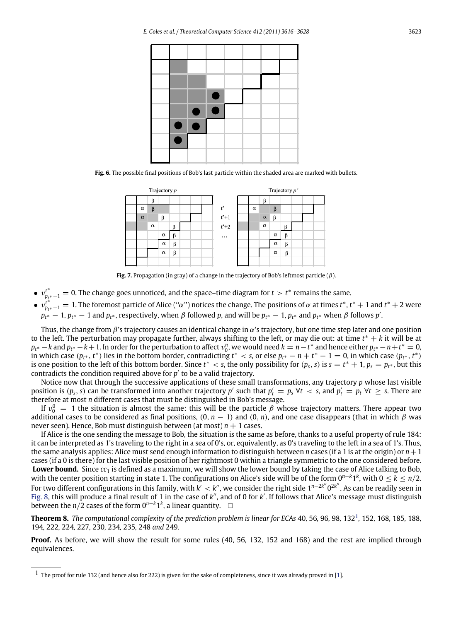<span id="page-7-1"></span>

**Fig. 6.** The possible final positions of Bob's last particle within the shaded area are marked with bullets.

<span id="page-7-0"></span>

**Fig. 7.** Propagation (in gray) of a change in the trajectory of Bob's leftmost particle (β).

- <sup>v</sup>*<sup>t</sup>*<sup>∗</sup> *pt*∗−<sup>1</sup> = 0. The change goes unnoticed, and the space–time diagram for *<sup>t</sup>* > *<sup>t</sup>*<sup>∗</sup> remains the same.
- <sup>v</sup>*<sup>t</sup>*<sup>∗</sup> *pt*∗−<sup>1</sup> = 1. The foremost particle of Alice (''α'') notices the change. The positions of α at times *<sup>t</sup>*∗, *<sup>t</sup>*<sup>∗</sup> + 1 and *<sup>t</sup>*<sup>∗</sup> + 2 were  $p_{t^*} - 1$ ,  $p_{t^*} - 1$  and  $p_{t^*}$ , respectively, when  $\beta$  followed  $p$ , and will be  $p_{t^*} - 1$ ,  $p_{t^*}$  and  $p_{t^*}$  when  $\beta$  follows  $p'$ .

Thus, the change from  $\beta$ 's trajectory causes an identical change in  $\alpha$ 's trajectory, but one time step later and one position to the left. The perturbation may propagate further, always shifting to the left, or may die out: at time *t*<sup>∗</sup> + *k* it will be at  $p_{t*} - k$  and  $p_{t*} - k + 1$ . In order for the perturbation to affect  $v_0^n$ , we would need  $k = n - t^*$  and hence either  $p_{t*} - n + t^* = 0$ , in which case  $(p_{t^*}, t^*)$  lies in the bottom border, contradicting  $t^* < s$ , or else  $p_{t^*} - n + t^* - 1 = 0$ , in which case  $(p_{t^*}, t^*)$ is one position to the left of this bottom border. Since  $t^* < s$ , the only possibility for  $(p_s, s)$  is  $s = t^* + 1$ ,  $p_s = p_{t^*}$ , but this contradicts the condition required above for  $p'$  to be a valid trajectory.

Notice now that through the successive applications of these small transformations, any trajectory *p* whose last visible position is  $(p_s, s)$  can be transformed into another trajectory *p'* such that  $p'_t = p_s \forall t < s$ , and  $p'_t = p_t \forall t \ge s$ . There are therefore at most *n* different cases that must be distinguished in Bob's message.

If  $v_0^0 = 1$  the situation is almost the same: this will be the particle β whose trajectory matters. There appear two additional cases to be considered as final positions,  $(0, n - 1)$  and  $(0, n)$ , and one case disappears (that in which  $\beta$  was never seen). Hence, Bob must distinguish between (at most)  $n + 1$  cases.

If Alice is the one sending the message to Bob, the situation is the same as before, thanks to a useful property of rule 184: it can be interpreted as 1's traveling to the right in a sea of 0's, or, equivalently, as 0's traveling to the left in a sea of 1's. Thus, the same analysis applies: Alice must send enough information to distinguish between *n* cases (if a 1 is at the origin) or *n*+1 cases (if a 0 is there) for the last visible position of her rightmost 0 within a triangle symmetric to the one considered before. **Lower bound.** Since  $cc_1$  is defined as a maximum, we will show the lower bound by taking the case of Alice talking to Bob, with the center position starting in state 1. The configurations on Alice's side will be of the form 0*<sup>n</sup>*−*<sup>k</sup>*1*<sup>k</sup>*, with 0 ≤ *<sup>k</sup>* ≤ *<sup>n</sup>*/2. For two different configurations in this family, with  $k' < k''$ , we consider the right side  $1^{n-2k''}0^{2k''}$ . As can be readily seen in [Fig.](#page-8-0) [8,](#page-8-0) this will produce a final result of 1 in the case of k'', and of 0 for k'. If follows that Alice's message must distinguish between the *n*/2 cases of the form  $0^{n-k}1^k$ , a linear quantity.  $□$ 

**Theorem 8.** *The computational complexity of the prediction problem is linear for ECAs* 40*,* 56*,* 96*,* 98*,* 132[1](#page-7-2)*,* 152*,* 168*,* 185*,* 188*,* 194*,* 222*,* 224*,* 227*,* 230*,* 234*,* 235*,* 248 *and* 249*.*

**Proof.** As before, we will show the result for some rules (40, 56, 132, 152 and 168) and the rest are implied through equivalences.

<span id="page-7-2"></span> $1$  The proof for rule 132 (and hence also for 222) is given for the sake of completeness, since it was already proved in [\[1\]](#page-11-0).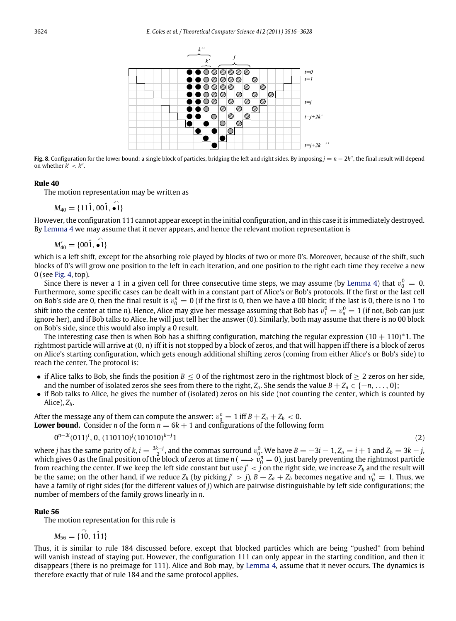<span id="page-8-0"></span>

**Fig. 8.** Configuration for the lower bound: a single block of particles, bridging the left and right sides. By imposing  $j = n - 2k$ <sup>n</sup>, the final result will depend on whether  $k' < k''$ .

#### **Rule 40**

The motion representation may be written as

 $M_{40} = \{11\hat{1}, 00\hat{1}, \hat{•1}\}$ 

However, the configuration 111 cannot appear except in the initial configuration, and in this case it is immediately destroyed. By [Lemma](#page-3-1) [4](#page-3-1) we may assume that it never appears, and hence the relevant motion representation is

$$
M'_{40} = \{00\hat{1}, \hat{\bullet 1}\}
$$

which is a left shift, except for the absorbing role played by blocks of two or more 0's. Moreover, because of the shift, such blocks of 0's will grow one position to the left in each iteration, and one position to the right each time they receive a new 0 (see [Fig.](#page-6-1) [4,](#page-6-1) top).

Since there is never a 1 in a given cell for three consecutive time steps, we may assume (by [Lemma](#page-3-1) [4\)](#page-3-1) that  $v_0^0 = 0$ . Furthermore, some specific cases can be dealt with in a constant part of Alice's or Bob's protocols. If the first or the last cell on Bob's side are 0, then the final result is  $v_0^n = 0$  (if the first is 0, then we have a 00 block; if the last is 0, there is no 1 to shift into the center at time *n*). Hence, Alice may give her message assuming that Bob has  $v_1^0 = v_n^0 = 1$  (if not, Bob can just ignore her), and if Bob talks to Alice, he will just tell her the answer (0). Similarly, both may assume that there is no 00 block on Bob's side, since this would also imply a 0 result.

The interesting case then is when Bob has a shifting configuration, matching the regular expression (10 + 110)\*1. The rightmost particle will arrive at (0, *n*) iff it is not stopped by a block of zeros, and that will happen iff there is a block of zeros on Alice's starting configuration, which gets enough additional shifting zeros (coming from either Alice's or Bob's side) to reach the center. The protocol is:

- if Alice talks to Bob, she finds the position  $B \le 0$  of the rightmost zero in the rightmost block of  $\ge 2$  zeros on her side, and the number of isolated zeros she sees from there to the right,  $Z_a$ . She sends the value  $B + Z_a \in \{-n, \ldots, 0\}$ ;
- if Bob talks to Alice, he gives the number of (isolated) zeros on his side (not counting the center, which is counted by Alice), *Zb*.

After the message any of them can compute the answer:  $v_0^n = 1$  iff  $B + Z_a + Z_b < 0$ . **Lower bound.** Consider *n* of the form  $n = 6k + 1$  and configurations of the following form

$$
0^{n-3i}(011)^i, 0, (110110)^j(101010)^{k-j}1
$$

<span id="page-8-1"></span> $1 \t(2)$ 

where *j* has the same parity of *k*,  $i = \frac{3k-j}{2}$ , and the commas surround  $v_0^0$ . We have  $B = -3i - 1$ ,  $Z_a = i + 1$  and  $Z_b = 3k - j$ , which gives 0 as the final position of the block of zeros at time  $n (\implies v_0^n = 0)$ , just barely preventing the rightmost particle from reaching the center. If we keep the left side constant but use  $j^\prime < j$  on the right side, we increase  $Z_b$  and the result will be the same; on the other hand, if we reduce  $Z_b$  (by picking  $j' > j$ ),  $B + Z_a + Z_b$  becomes negative and  $v_0^n = 1$ . Thus, we have a family of right sides (for the different values of *j*) which are pairwise distinguishable by left side configurations; the number of members of the family grows linearly in *n*.

#### **Rule 56**

The motion representation for this rule is

$$
M_{56} = \{ \hat{\vec{10}}, \hat{111} \}
$$

Thus, it is similar to rule 184 discussed before, except that blocked particles which are being ''pushed'' from behind will vanish instead of staying put. However, the configuration 111 can only appear in the starting condition, and then it disappears (there is no preimage for 111). Alice and Bob may, by [Lemma](#page-3-1) [4,](#page-3-1) assume that it never occurs. The dynamics is therefore exactly that of rule 184 and the same protocol applies.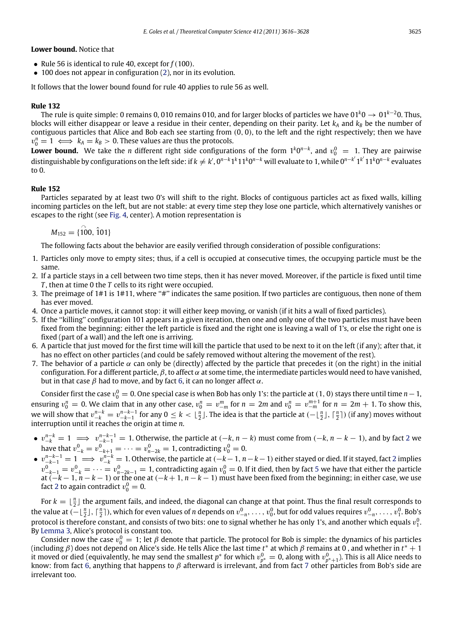**Lower bound.** Notice that

- Rule 56 is identical to rule 40, except for *<sup>f</sup>*(100).
- 100 does not appear in configuration [\(2\)](#page-8-1), nor in its evolution.

It follows that the lower bound found for rule 40 applies to rule 56 as well.

### **Rule 132**

The rule is quite simple: 0 remains 0, 010 remains 010, and for larger blocks of particles we have 01*<sup>k</sup>*<sup>0</sup> → <sup>01</sup>*<sup>k</sup>*−20. Thus, blocks will either disappear or leave a residue in their center, depending on their parity. Let  $k_A$  and  $k_B$  be the number of contiguous particles that Alice and Bob each see starting from (0, 0), to the left and the right respectively; then we have  $v_0^n = 1 \iff k_A = k_B > 0$ . These values are thus the protocols.

**Lower bound.** We take the *n* different right side configurations of the form  $1^k0^{n-k}$ , and  $v_0^0 = 1$ . They are pairwise distinguishable by configurations on the left side: if  $k \neq k'$ ,  $0^{n-k}1^k1^k0^{n-k}$  will evaluate to 1, while  $0^{n-k'}1^{k'}11^k0^{n-k}$  evaluates to 0.

### **Rule 152**

Particles separated by at least two 0's will shift to the right. Blocks of contiguous particles act as fixed walls, killing incoming particles on the left, but are not stable: at every time step they lose one particle, which alternatively vanishes or escapes to the right (see [Fig.](#page-6-1) [4,](#page-6-1) center). A motion representation is

 $M_{152} = \{100, 101\}$ 

The following facts about the behavior are easily verified through consideration of possible configurations:

- 1. Particles only move to empty sites; thus, if a cell is occupied at consecutive times, the occupying particle must be the same.
- <span id="page-9-2"></span>2. If a particle stays in a cell between two time steps, then it has never moved. Moreover, if the particle is fixed until time *T* , then at time 0 the *T* cells to its right were occupied.
- 3. The preimage of 1#1 is 1#11, where ''#'' indicates the same position. If two particles are contiguous, then none of them has ever moved.
- 4. Once a particle moves, it cannot stop: it will either keep moving, or vanish (if it hits a wall of fixed particles).
- <span id="page-9-3"></span>5. If the ''killing'' configuration 101 appears in a given iteration, then one and only one of the two particles must have been fixed from the beginning: either the left particle is fixed and the right one is leaving a wall of 1's, or else the right one is fixed (part of a wall) and the left one is arriving.
- <span id="page-9-1"></span>6. A particle that just moved for the first time will kill the particle that used to be next to it on the left (if any); after that, it has no effect on other particles (and could be safely removed without altering the movement of the rest).
- <span id="page-9-0"></span>7. The behavior of a particle  $\alpha$  can only be (directly) affected by the particle that precedes it (on the right) in the initial configuration. For a different particle,  $\beta$ , to affect  $\alpha$  at some time, the intermediate particles would need to have vanished, but in that case  $\beta$  had to move, and by fact [6,](#page-9-1) it can no longer affect  $\alpha$ .

Consider first the case  $v_0^0 = 0$ . One special case is when Bob has only 1's: the particle at  $(1, 0)$  stays there until time  $n-1$ , ensuring  $v_0^n = 0$ . We claim that in any other case,  $v_0^n = v_{-m}^m$  for  $n = 2m$  and  $v_0^n = v_{-m}^{m+1}$  for  $n = 2m + 1$ . To show this, we will show that  $v_{-k}^{n-k} = v_{-k-1}^{n-k-1}$  for any  $0 \le k < \lfloor \frac{n}{2} \rfloor$ . The idea is that the particle at  $(-\lfloor \frac{n}{2} \rfloor, \lceil \frac{n}{2} \rceil)$  (if any) moves without interruption until it reaches the origin at time *n*.

- v*<sup>n</sup>*−*<sup>k</sup>* <sup>−</sup>*<sup>k</sup>* <sup>=</sup> <sup>1</sup> =⇒ <sup>v</sup>*<sup>n</sup>*−*k*−<sup>1</sup> <sup>−</sup>*k*−<sup>1</sup> = 1. Otherwise, the particle at (−*k*, *<sup>n</sup>* − *<sup>k</sup>*) must come from (−*k*, *<sup>n</sup>* − *<sup>k</sup>* − <sup>1</sup>), and by fact [2](#page-9-2) we have that  $v_{-k}^0 = v_{-k+1}^0 = \cdots = v_{n-2k}^0 = 1$ , contradicting  $v_0^0 = 0$ .
- $\bullet$   $v_{-k-1}^{n-k-1} = 1 \implies v_{-k}^{n-k} = 1$ . Otherwise, the particle at  $(-k-1, n-k-1)$  either stayed or died. If it stayed, fact [2](#page-9-2) implies  $v_{-k-1}^0 = v_{-k}^0 = \cdots = v_{n-2k-1}^0 = 1$ , contradicting again  $v_0^0 = 0$ . If it died, then by fact [5](#page-9-3) we have that either the particle at (−*<sup>k</sup>* − <sup>1</sup>, *<sup>n</sup>* − *<sup>k</sup>* − <sup>1</sup>) or the one at (−*<sup>k</sup>* + <sup>1</sup>, *<sup>n</sup>* − *<sup>k</sup>* − <sup>1</sup>) must have been fixed from the beginning; in either case, we use fact [2](#page-9-2) to again contradict  $v_0^0 = 0$ .

For  $k = \lfloor \frac{n}{2} \rfloor$  the argument fails, and indeed, the diagonal can change at that point. Thus the final result corresponds to the value at  $(-\lfloor \frac{n}{2} \rfloor, \lceil \frac{n}{2} \rceil)$ , which for even values of *n* depends on  $v_{-n}^0, \ldots, v_0^0$ , but for odd values requires  $v_{-n}^0, \ldots, v_1^0$ . Bob's protocol is therefore constant, and consists of two bits: one to signal whether he has only 1's, and another which equals  $v_1^0$ . By [Lemma](#page-3-2) [3,](#page-3-2) Alice's protocol is constant too.

Consider now the case  $v_0^0 = 1$ ; let  $\beta$  denote that particle. The protocol for Bob is simple: the dynamics of his particles (including β) does not depend on Alice's side. He tells Alice the last time *<sup>t</sup>*<sup>∗</sup> at which β remains at 0 , and whether in *<sup>t</sup>*<sup>∗</sup> + <sup>1</sup> it moved or died (equivalently, he may send the smallest  $p^*$  for which  $v_{p^*}^0 = 0$ , along with  $v_{p^*+1}^0$ ). This is all Alice needs to<br>know: from fact [6,](#page-9-1) anything that happens to  $\beta$  afterward is irrelevant, and fr irrelevant too.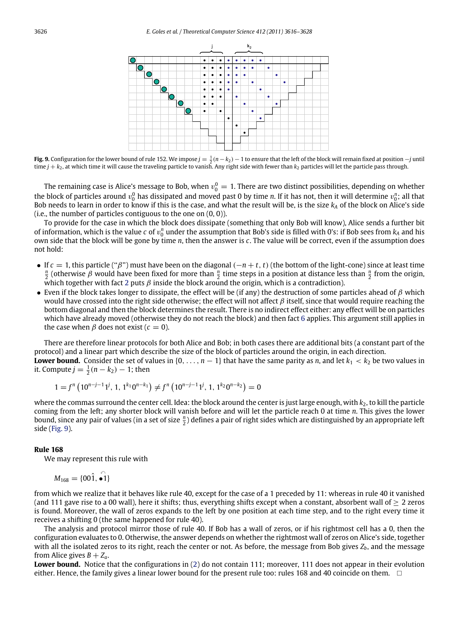<span id="page-10-0"></span>

**Fig. 9.** Configuration for the lower bound of rule 152. We impose  $j = \frac{1}{2}(n-k_2) - 1$  to ensure that the left of the block will remain fixed at position  $-j$  until time  $j + k_2$ , at which time it will cause the traveling particle to vanish. Any right side with fewer than  $k_2$  particles will let the particle pass through.

The remaining case is Alice's message to Bob, when  $v_0^0=1$ . There are two distinct possibilities, depending on whether the block of particles around  $v_0^0$  has dissipated and moved past 0 by time *n*. If it has not, then it will determine  $v_0^n$ ; all that Bob needs to learn in order to know if this is the case, and what the result will be, is the size  $k_A$  of the block on Alice's side (i.e., the number of particles contiguous to the one on  $(0, 0)$ ).

To provide for the case in which the block does dissipate (something that only Bob will know), Alice sends a further bit of information, which is the value *c* of  $v_0^n$  under the assumption that Bob's side is filled with 0's: if Bob sees from  $k_A$  and his own side that the block will be gone by time *n*, then the answer is *c*. The value will be correct, even if the assumption does not hold:

- If *<sup>c</sup>* <sup>=</sup> 1, this particle (''β'') must have been on the diagonal (−*<sup>n</sup>* <sup>+</sup> *<sup>t</sup>*, *<sup>t</sup>*) (the bottom of the light-cone) since at least time *<sup>n</sup>*  $\frac{n}{2}$  (otherwise *β* would have been fixed for more than  $\frac{n}{2}$  time steps in a position at distance less than  $\frac{n}{2}$  from the origin, which together with fact [2](#page-9-2) puts  $\beta$  inside the block around the origin, which is a contradiction).
- Even if the block takes longer to dissipate, the effect will be (if any) the destruction of some particles ahead of  $\beta$  which would have crossed into the right side otherwise; the effect will not affect  $\beta$  itself, since that would require reaching the bottom diagonal and then the block determines the result. There is no indirect effect either: any effect will be on particles which have already moved (otherwise they do not reach the block) and then fact [6](#page-9-1) applies. This argument still applies in the case when  $\beta$  does not exist ( $c = 0$ ).

There are therefore linear protocols for both Alice and Bob; in both cases there are additional bits (a constant part of the protocol) and a linear part which describe the size of the block of particles around the origin, in each direction.

**Lower bound.** Consider the set of values in  $\{0, \ldots, n-1\}$  that have the same parity as *n*, and let  $k_1 < k_2$  be two values in it. Compute  $j = \frac{1}{2}(n - k_2) - 1$ ; then

$$
1 = f^{n} \left( 10^{n-j-1}1^{j}, 1, 1^{k_1}0^{n-k_1} \right) \neq f^{n} \left( 10^{n-j-1}1^{j}, 1, 1^{k_2}0^{n-k_2} \right) = 0
$$

where the commas surround the center cell. Idea: the block around the center is just large enough, with  $k<sub>2</sub>$ , to kill the particle coming from the left; any shorter block will vanish before and will let the particle reach 0 at time *n*. This gives the lower bound, since any pair of values (in a set of size  $\frac{n}{2}$ ) defines a pair of right sides which are distinguished by an appropriate left side [\(Fig.](#page-10-0) [9\)](#page-10-0).

#### **Rule 168**

We may represent this rule with

$$
M_{168} = \{00\hat{1}, \hat{\bullet 1}\}
$$

from which we realize that it behaves like rule 40, except for the case of a 1 preceded by 11: whereas in rule 40 it vanished (and 111 gave rise to a 00 wall), here it shifts; thus, everything shifts except when a constant, absorbent wall of  $\geq 2$  zeros is found. Moreover, the wall of zeros expands to the left by one position at each time step, and to the right every time it receives a shifting 0 (the same happened for rule 40).

The analysis and protocol mirror those of rule 40. If Bob has a wall of zeros, or if his rightmost cell has a 0, then the configuration evaluates to 0. Otherwise, the answer depends on whether the rightmost wall of zeros on Alice's side, together with all the isolated zeros to its right, reach the center or not. As before, the message from Bob gives  $Z_b$ , and the message from Alice gives  $B + Z_a$ .

Lower bound. Notice that the configurations in [\(2\)](#page-8-1) do not contain 111; moreover, 111 does not appear in their evolution either. Hence, the family gives a linear lower bound for the present rule too: rules 168 and 40 coincide on them.  $\Box$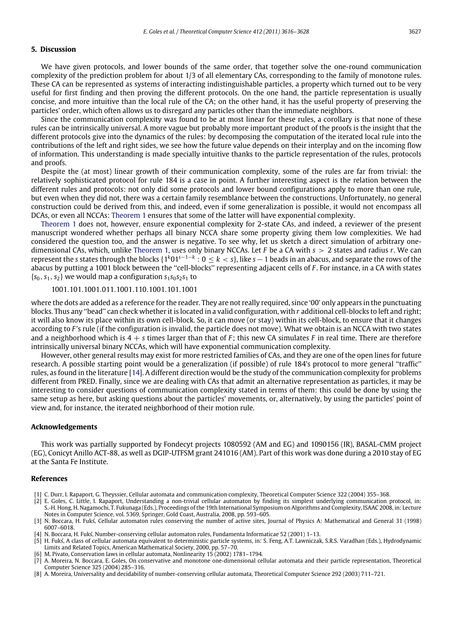#### **5. Discussion**

We have given protocols, and lower bounds of the same order, that together solve the one-round communication complexity of the prediction problem for about 1/3 of all elementary CAs, corresponding to the family of monotone rules. These CA can be represented as systems of interacting indistinguishable particles, a property which turned out to be very useful for first finding and then proving the different protocols. On the one hand, the particle representation is usually concise, and more intuitive than the local rule of the CA; on the other hand, it has the useful property of preserving the particles' order, which often allows us to disregard any particles other than the immediate neighbors.

Since the communication complexity was found to be at most linear for these rules, a corollary is that none of these rules can be intrinsically universal. A more vague but probably more important product of the proofs is the insight that the different protocols give into the dynamics of the rules: by decomposing the computation of the iterated local rule into the contributions of the left and right sides, we see how the future value depends on their interplay and on the incoming flow of information. This understanding is made specially intuitive thanks to the particle representation of the rules, protocols and proofs.

Despite the (at most) linear growth of their communication complexity, some of the rules are far from trivial: the relatively sophisticated protocol for rule 184 is a case in point. A further interesting aspect is the relation between the different rules and protocols: not only did some protocols and lower bound configurations apply to more than one rule, but even when they did not, there was a certain family resemblance between the constructions. Unfortunately, no general construction could be derived from this, and indeed, even if some generalization is possible, it would not encompass all DCAs, or even all NCCAs: [Theorem](#page-2-1) [1](#page-2-1) ensures that some of the latter will have exponential complexity.

[Theorem](#page-2-1) [1](#page-2-1) does not, however, ensure exponential complexity for 2-state CAs, and indeed, a reviewer of the present manuscript wondered whether perhaps all binary NCCA share some property giving them low complexities. We had considered the question too, and the answer is negative. To see why, let us sketch a direct simulation of arbitrary onedimensional CAs, which, unlike [Theorem](#page-2-1) [1,](#page-2-1) uses only binary NCCAs. Let *F* be a CA with *s* > 2 states and radius *r*. We can represent the *<sup>s</sup>* states through the blocks {1*<sup>k</sup>*01*<sup>s</sup>*−1−*<sup>k</sup>* : <sup>0</sup> ≤ *<sup>k</sup>* < *<sup>s</sup>*}, like *<sup>s</sup>*−1 beads in an abacus, and separate the rows of the abacus by putting a 1001 block between the ''cell-blocks'' representing adjacent cells of *F* . For instance, in a CA with states  ${s_0, s_1, s_2}$  we would map a configuration  $s_1s_0s_2s_1$  to

1001.101.1001.011.1001.110.1001.101.1001

where the dots are added as a reference for the reader. They are not really required, since '00' only appears in the punctuating blocks. Thus any ''bead'' can check whether it is located in a valid configuration, with *r* additional cell-blocks to left and right; it will also know its place within its own cell-block. So, it can move (or stay) within its cell-block, to ensure that it changes according to *F* 's rule (if the configuration is invalid, the particle does not move). What we obtain is an NCCA with two states and a neighborhood which is 4 + *s* times larger than that of *F* ; this new CA simulates *F* in real time. There are therefore intrinsically universal binary NCCAs, which will have exponential communication complexity.

However, other general results may exist for more restricted families of CAs, and they are one of the open lines for future research. A possible starting point would be a generalization (if possible) of rule 184's protocol to more general ''traffic'' rules, as found in the literature [\[14\]](#page-12-5). A different direction would be the study of the communication complexity for problems different from PRED. Finally, since we are dealing with CAs that admit an alternative representation as particles, it may be interesting to consider questions of communication complexity stated in terms of them: this could be done by using the same setup as here, but asking questions about the particles' movements, or, alternatively, by using the particles' point of view and, for instance, the iterated neighborhood of their motion rule.

#### **Acknowledgements**

This work was partially supported by Fondecyt projects 1080592 (AM and EG) and 1090156 (IR), BASAL-CMM project (EG), Conicyt Anillo ACT-88, as well as DGIP-UTFSM grant 241016 (AM). Part of this work was done during a 2010 stay of EG at the Santa Fe Institute.

#### **References**

- <span id="page-11-0"></span>[1] C. Durr, I. Rapaport, G. Theyssier, Cellular automata and communication complexity, Theoretical Computer Science 322 (2004) 355–368.
- <span id="page-11-1"></span>[2] E. Goles, C. Little, I. Rapaport, Understanding a non-trivial cellular automaton by finding its simplest underlying communication protocol, in: S.-H. Hong, H. Nagamochi, T. Fukunaga (Eds.), Proceedings of the 19th International Symposium on Algorithms and Complexity, ISAAC 2008, in: Lecture Notes in Computer Science, vol. 5369, Springer, Gold Coast, Australia, 2008, pp. 593–605.
- <span id="page-11-2"></span>[3] N. Boccara, H. Fukś, Cellular automaton rules conserving the number of active sites, Journal of Physics A: Mathematical and General 31 (1998) 6007–6018.
- <span id="page-11-5"></span>[4] N. Boccara, H. Fukś, Number-conserving cellular automaton rules, Fundamenta Informaticae 52 (2001) 1–13.
- <span id="page-11-6"></span>[5] H. Fukś, A class of cellular automata equivalent to deterministic particle systems, in: S. Feng, A.T. Lawniczak, S.R.S. Varadhan (Eds.), Hydrodynamic Limits and Related Topics, American Mathematical Society, 2000, pp. 57–70.
- <span id="page-11-7"></span>M. Pivato, Conservation laws in cellular automata, Nonlinearity 15 (2002) 1781-1794.
- <span id="page-11-3"></span>[7] A. Moreira, N. Boccara, E. Goles, On conservative and monotone one-dimensional cellular automata and their particle representation, Theoretical Computer Science 325 (2004) 285–316.
- <span id="page-11-4"></span>[8] A. Moreira, Universality and decidability of number-conserving cellular automata, Theoretical Computer Science 292 (2003) 711–721.